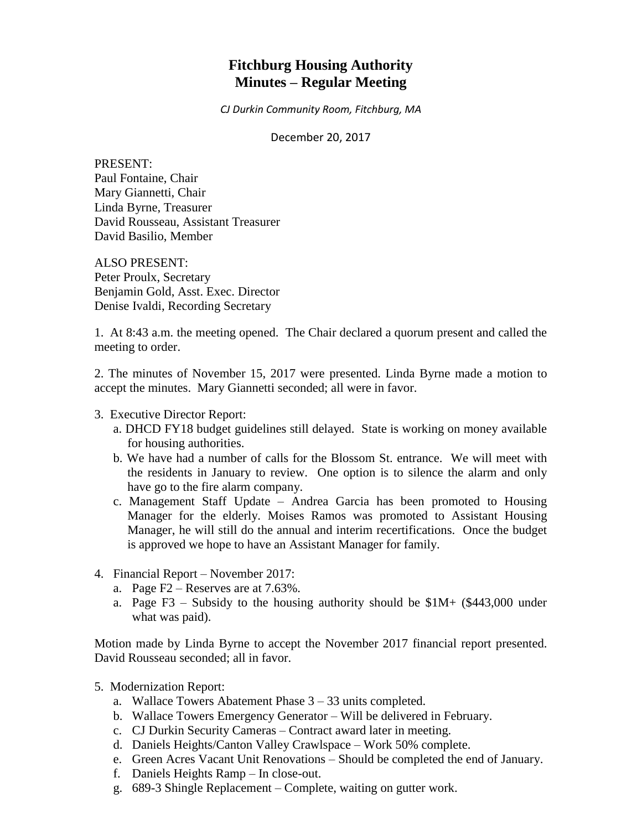# **Fitchburg Housing Authority Minutes – Regular Meeting**

*CJ Durkin Community Room, Fitchburg, MA*

December 20, 2017

PRESENT: Paul Fontaine, Chair Mary Giannetti, Chair Linda Byrne, Treasurer David Rousseau, Assistant Treasurer David Basilio, Member

ALSO PRESENT: Peter Proulx, Secretary Benjamin Gold, Asst. Exec. Director Denise Ivaldi, Recording Secretary

1. At 8:43 a.m. the meeting opened. The Chair declared a quorum present and called the meeting to order.

2. The minutes of November 15, 2017 were presented. Linda Byrne made a motion to accept the minutes. Mary Giannetti seconded; all were in favor.

### 3. Executive Director Report:

- a. DHCD FY18 budget guidelines still delayed. State is working on money available for housing authorities.
- b. We have had a number of calls for the Blossom St. entrance. We will meet with the residents in January to review. One option is to silence the alarm and only have go to the fire alarm company.
- c. Management Staff Update Andrea Garcia has been promoted to Housing Manager for the elderly. Moises Ramos was promoted to Assistant Housing Manager, he will still do the annual and interim recertifications. Once the budget is approved we hope to have an Assistant Manager for family.
- 4. Financial Report November 2017:
	- a. Page F2 Reserves are at 7.63%.
	- a. Page F3 Subsidy to the housing authority should be  $$1M+ ($443,000$  under what was paid).

Motion made by Linda Byrne to accept the November 2017 financial report presented. David Rousseau seconded; all in favor.

- 5. Modernization Report:
	- a. Wallace Towers Abatement Phase 3 33 units completed.
	- b. Wallace Towers Emergency Generator Will be delivered in February.
	- c. CJ Durkin Security Cameras Contract award later in meeting.
	- d. Daniels Heights/Canton Valley Crawlspace Work 50% complete.
	- e. Green Acres Vacant Unit Renovations Should be completed the end of January.
	- f. Daniels Heights Ramp In close-out.
	- g. 689-3 Shingle Replacement Complete, waiting on gutter work.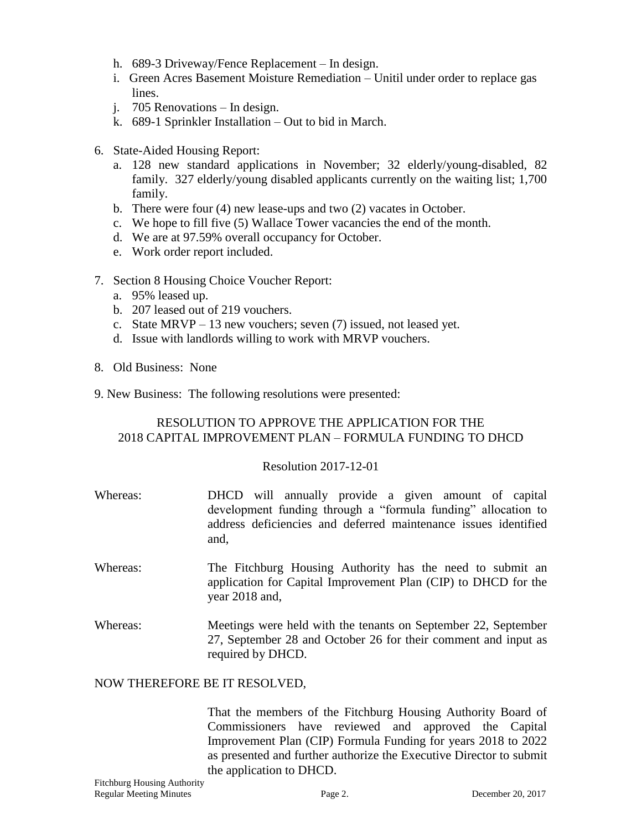- h. 689-3 Driveway/Fence Replacement In design.
- i. Green Acres Basement Moisture Remediation Unitil under order to replace gas lines.
- j. 705 Renovations In design.
- k. 689-1 Sprinkler Installation Out to bid in March.
- 6. State-Aided Housing Report:
	- a. 128 new standard applications in November; 32 elderly/young-disabled, 82 family. 327 elderly/young disabled applicants currently on the waiting list; 1,700 family.
	- b. There were four (4) new lease-ups and two (2) vacates in October.
	- c. We hope to fill five (5) Wallace Tower vacancies the end of the month.
	- d. We are at 97.59% overall occupancy for October.
	- e. Work order report included.
- 7. Section 8 Housing Choice Voucher Report:
	- a. 95% leased up.
	- b. 207 leased out of 219 vouchers.
	- c. State MRVP 13 new vouchers; seven (7) issued, not leased yet.
	- d. Issue with landlords willing to work with MRVP vouchers.
- 8. Old Business: None
- 9. New Business: The following resolutions were presented:

# RESOLUTION TO APPROVE THE APPLICATION FOR THE 2018 CAPITAL IMPROVEMENT PLAN – FORMULA FUNDING TO DHCD

#### Resolution 2017-12-01

- Whereas: DHCD will annually provide a given amount of capital development funding through a "formula funding" allocation to address deficiencies and deferred maintenance issues identified and,
- Whereas: The Fitchburg Housing Authority has the need to submit an application for Capital Improvement Plan (CIP) to DHCD for the year 2018 and,
- Whereas: Meetings were held with the tenants on September 22, September 27, September 28 and October 26 for their comment and input as required by DHCD.

#### NOW THEREFORE BE IT RESOLVED,

That the members of the Fitchburg Housing Authority Board of Commissioners have reviewed and approved the Capital Improvement Plan (CIP) Formula Funding for years 2018 to 2022 as presented and further authorize the Executive Director to submit the application to DHCD.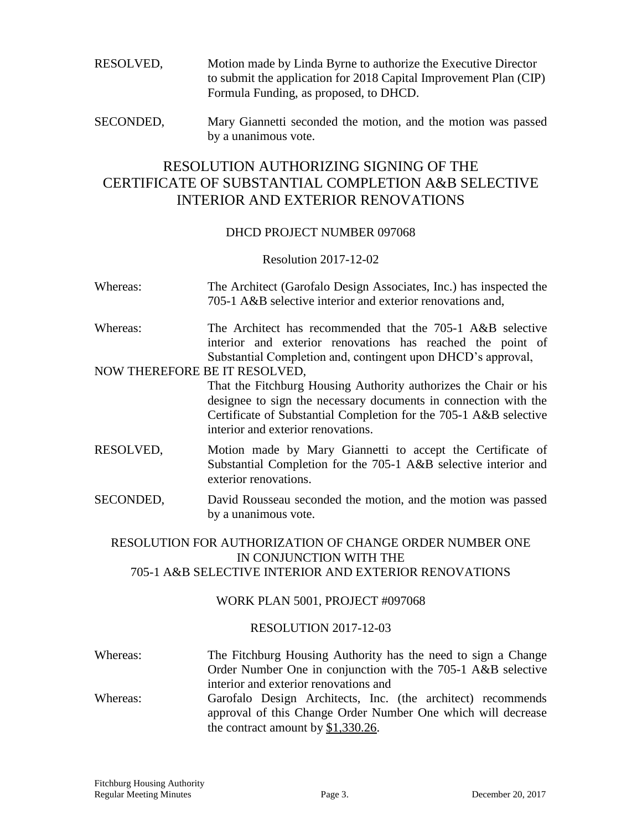RESOLVED, Motion made by Linda Byrne to authorize the Executive Director to submit the application for 2018 Capital Improvement Plan (CIP) Formula Funding, as proposed, to DHCD.

SECONDED, Mary Giannetti seconded the motion, and the motion was passed by a unanimous vote.

# RESOLUTION AUTHORIZING SIGNING OF THE CERTIFICATE OF SUBSTANTIAL COMPLETION A&B SELECTIVE INTERIOR AND EXTERIOR RENOVATIONS

### DHCD PROJECT NUMBER 097068

### Resolution 2017-12-02

- Whereas: The Architect (Garofalo Design Associates, Inc.) has inspected the 705-1 A&B selective interior and exterior renovations and,
- Whereas: The Architect has recommended that the 705-1 A&B selective interior and exterior renovations has reached the point of Substantial Completion and, contingent upon DHCD's approval,

### NOW THEREFORE BE IT RESOLVED,

That the Fitchburg Housing Authority authorizes the Chair or his designee to sign the necessary documents in connection with the Certificate of Substantial Completion for the 705-1 A&B selective interior and exterior renovations.

- RESOLVED, Motion made by Mary Giannetti to accept the Certificate of Substantial Completion for the 705-1 A&B selective interior and exterior renovations.
- SECONDED, David Rousseau seconded the motion, and the motion was passed by a unanimous vote.

### RESOLUTION FOR AUTHORIZATION OF CHANGE ORDER NUMBER ONE IN CONJUNCTION WITH THE 705-1 A&B SELECTIVE INTERIOR AND EXTERIOR RENOVATIONS

### WORK PLAN 5001, PROJECT #097068

### RESOLUTION 2017-12-03

- Whereas: The Fitchburg Housing Authority has the need to sign a Change Order Number One in conjunction with the 705-1 A&B selective interior and exterior renovations and
- Whereas: Garofalo Design Architects, Inc. (the architect) recommends approval of this Change Order Number One which will decrease the contract amount by \$1,330.26.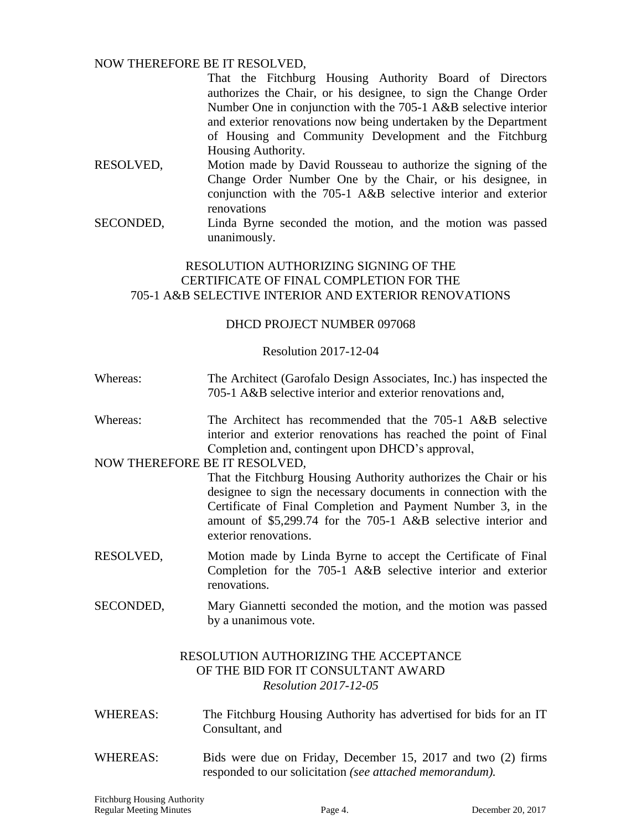### NOW THEREFORE BE IT RESOLVED,

That the Fitchburg Housing Authority Board of Directors authorizes the Chair, or his designee, to sign the Change Order Number One in conjunction with the 705-1 A&B selective interior and exterior renovations now being undertaken by the Department of Housing and Community Development and the Fitchburg Housing Authority.

- RESOLVED, Motion made by David Rousseau to authorize the signing of the Change Order Number One by the Chair, or his designee, in conjunction with the 705-1 A&B selective interior and exterior renovations
- SECONDED, Linda Byrne seconded the motion, and the motion was passed unanimously.

# RESOLUTION AUTHORIZING SIGNING OF THE CERTIFICATE OF FINAL COMPLETION FOR THE 705-1 A&B SELECTIVE INTERIOR AND EXTERIOR RENOVATIONS

### DHCD PROJECT NUMBER 097068

### Resolution 2017-12-04

- Whereas: The Architect (Garofalo Design Associates, Inc.) has inspected the 705-1 A&B selective interior and exterior renovations and,
- Whereas: The Architect has recommended that the 705-1 A&B selective interior and exterior renovations has reached the point of Final Completion and, contingent upon DHCD's approval,

### NOW THEREFORE BE IT RESOLVED,

That the Fitchburg Housing Authority authorizes the Chair or his designee to sign the necessary documents in connection with the Certificate of Final Completion and Payment Number 3, in the amount of \$5,299.74 for the 705-1 A&B selective interior and exterior renovations.

- RESOLVED, Motion made by Linda Byrne to accept the Certificate of Final Completion for the 705-1 A&B selective interior and exterior renovations.
- SECONDED, Mary Giannetti seconded the motion, and the motion was passed by a unanimous vote.

# RESOLUTION AUTHORIZING THE ACCEPTANCE OF THE BID FOR IT CONSULTANT AWARD *Resolution 2017-12-05*

- WHEREAS: The Fitchburg Housing Authority has advertised for bids for an IT Consultant, and
- WHEREAS: Bids were due on Friday, December 15, 2017 and two (2) firms responded to our solicitation *(see attached memorandum).*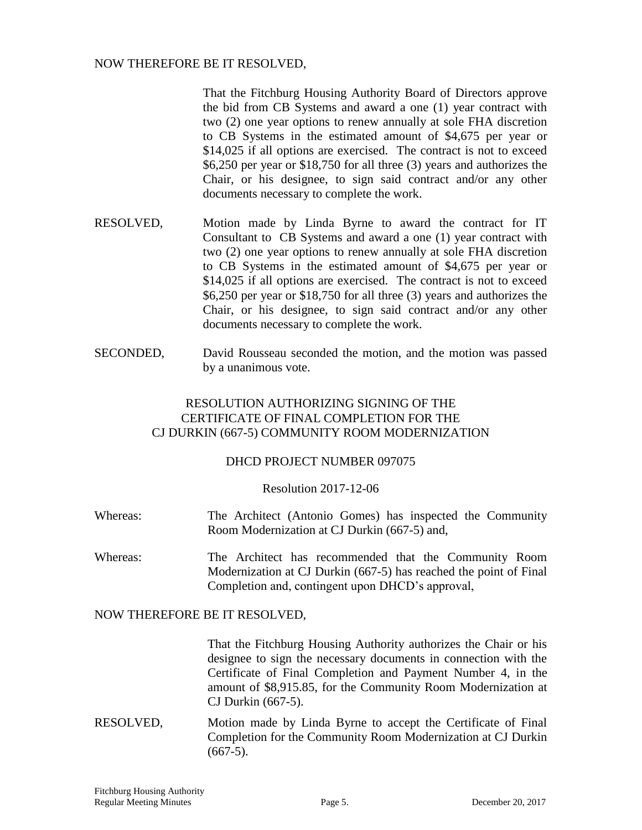### NOW THEREFORE BE IT RESOLVED,

That the Fitchburg Housing Authority Board of Directors approve the bid from CB Systems and award a one (1) year contract with two (2) one year options to renew annually at sole FHA discretion to CB Systems in the estimated amount of \$4,675 per year or \$14,025 if all options are exercised. The contract is not to exceed \$6,250 per year or \$18,750 for all three (3) years and authorizes the Chair, or his designee, to sign said contract and/or any other documents necessary to complete the work.

- RESOLVED, Motion made by Linda Byrne to award the contract for IT Consultant to CB Systems and award a one (1) year contract with two (2) one year options to renew annually at sole FHA discretion to CB Systems in the estimated amount of \$4,675 per year or \$14,025 if all options are exercised. The contract is not to exceed \$6,250 per year or \$18,750 for all three (3) years and authorizes the Chair, or his designee, to sign said contract and/or any other documents necessary to complete the work.
- SECONDED, David Rousseau seconded the motion, and the motion was passed by a unanimous vote.

# RESOLUTION AUTHORIZING SIGNING OF THE CERTIFICATE OF FINAL COMPLETION FOR THE CJ DURKIN (667-5) COMMUNITY ROOM MODERNIZATION

### DHCD PROJECT NUMBER 097075

### Resolution 2017-12-06

- Whereas: The Architect (Antonio Gomes) has inspected the Community Room Modernization at CJ Durkin (667-5) and,
- Whereas: The Architect has recommended that the Community Room Modernization at CJ Durkin (667-5) has reached the point of Final Completion and, contingent upon DHCD's approval,

### NOW THEREFORE BE IT RESOLVED,

That the Fitchburg Housing Authority authorizes the Chair or his designee to sign the necessary documents in connection with the Certificate of Final Completion and Payment Number 4, in the amount of \$8,915.85, for the Community Room Modernization at CJ Durkin (667-5).

RESOLVED, Motion made by Linda Byrne to accept the Certificate of Final Completion for the Community Room Modernization at CJ Durkin  $(667-5).$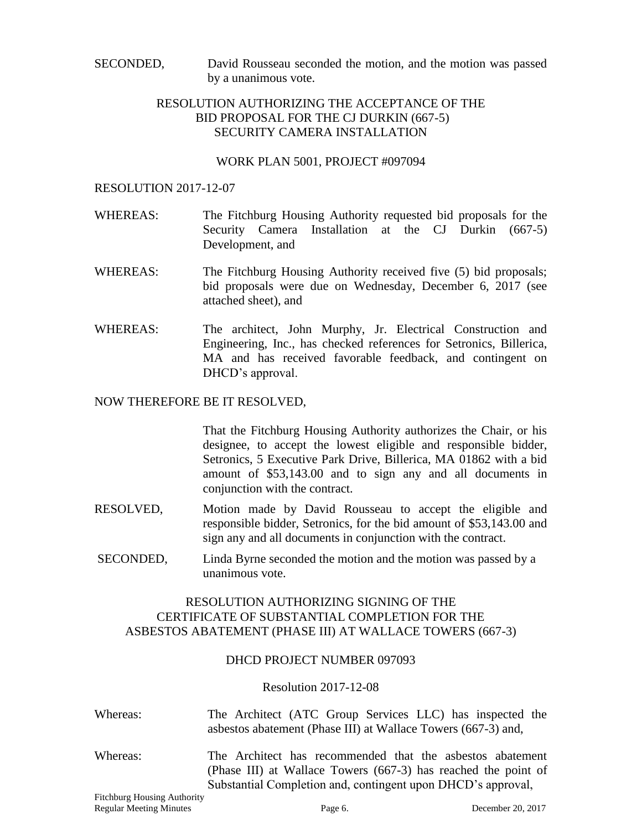SECONDED, David Rousseau seconded the motion, and the motion was passed by a unanimous vote.

# RESOLUTION AUTHORIZING THE ACCEPTANCE OF THE BID PROPOSAL FOR THE CJ DURKIN (667-5) SECURITY CAMERA INSTALLATION

#### WORK PLAN 5001, PROJECT #097094

#### RESOLUTION 2017-12-07

- WHEREAS: The Fitchburg Housing Authority requested bid proposals for the Security Camera Installation at the CJ Durkin (667-5) Development, and
- WHEREAS: The Fitchburg Housing Authority received five (5) bid proposals; bid proposals were due on Wednesday, December 6, 2017 (see attached sheet), and
- WHEREAS: The architect, John Murphy, Jr. Electrical Construction and Engineering, Inc., has checked references for Setronics, Billerica, MA and has received favorable feedback, and contingent on DHCD's approval.

#### NOW THEREFORE BE IT RESOLVED,

That the Fitchburg Housing Authority authorizes the Chair, or his designee, to accept the lowest eligible and responsible bidder, Setronics, 5 Executive Park Drive, Billerica, MA 01862 with a bid amount of \$53,143.00 and to sign any and all documents in conjunction with the contract.

- RESOLVED, Motion made by David Rousseau to accept the eligible and responsible bidder, Setronics, for the bid amount of \$53,143.00 and sign any and all documents in conjunction with the contract.
- SECONDED, Linda Byrne seconded the motion and the motion was passed by a unanimous vote.

# RESOLUTION AUTHORIZING SIGNING OF THE CERTIFICATE OF SUBSTANTIAL COMPLETION FOR THE ASBESTOS ABATEMENT (PHASE III) AT WALLACE TOWERS (667-3)

### DHCD PROJECT NUMBER 097093

#### Resolution 2017-12-08

| Whereas:                                                                                  | The Architect (ATC Group Services LLC) has inspected the                              |
|-------------------------------------------------------------------------------------------|---------------------------------------------------------------------------------------|
|                                                                                           | asbestos abatement (Phase III) at Wallace Towers (667-3) and,                         |
| $\bf{W}$ $\bf{V}$ $\bf{L}$ $\bf{L}$ $\bf{L}$ $\bf{L}$ $\bf{L}$ $\bf{L}$ $\bf{L}$ $\bf{L}$ | TPL . A selection of the commences of the distribution of the selection of the common |

Whereas: The Architect has recommended that the asbestos abatement (Phase III) at Wallace Towers (667-3) has reached the point of Substantial Completion and, contingent upon DHCD's approval,